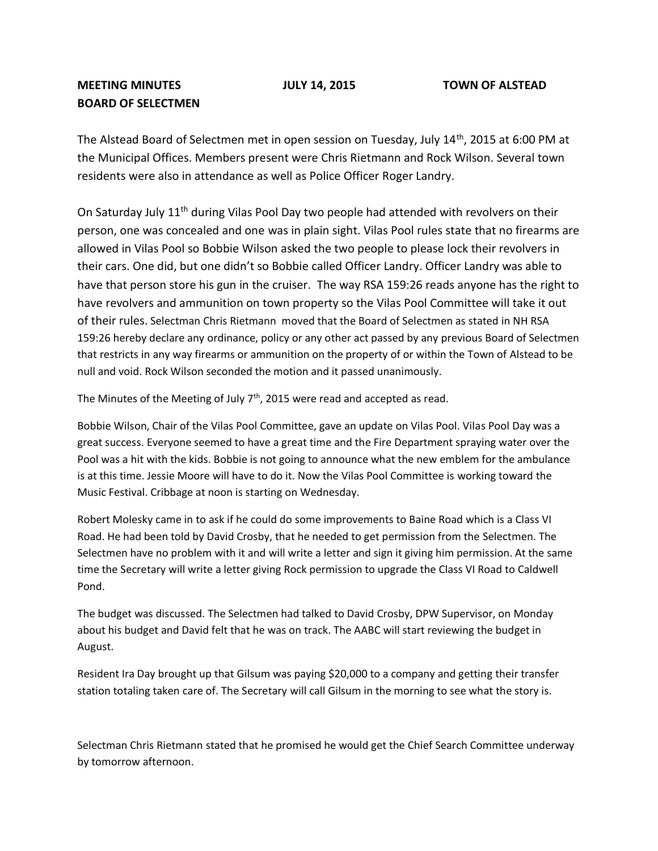## **MEETING MINUTES JULY 14, 2015 TOWN OF ALSTEAD BOARD OF SELECTMEN**

The Alstead Board of Selectmen met in open session on Tuesday, July 14<sup>th</sup>, 2015 at 6:00 PM at the Municipal Offices. Members present were Chris Rietmann and Rock Wilson. Several town residents were also in attendance as well as Police Officer Roger Landry.

On Saturday July 11<sup>th</sup> during Vilas Pool Day two people had attended with revolvers on their person, one was concealed and one was in plain sight. Vilas Pool rules state that no firearms are allowed in Vilas Pool so Bobbie Wilson asked the two people to please lock their revolvers in their cars. One did, but one didn't so Bobbie called Officer Landry. Officer Landry was able to have that person store his gun in the cruiser. The way RSA 159:26 reads anyone has the right to have revolvers and ammunition on town property so the Vilas Pool Committee will take it out of their rules. Selectman Chris Rietmann moved that the Board of Selectmen as stated in NH RSA 159:26 hereby declare any ordinance, policy or any other act passed by any previous Board of Selectmen that restricts in any way firearms or ammunition on the property of or within the Town of Alstead to be null and void. Rock Wilson seconded the motion and it passed unanimously.

The Minutes of the Meeting of July 7<sup>th</sup>, 2015 were read and accepted as read.

Bobbie Wilson, Chair of the Vilas Pool Committee, gave an update on Vilas Pool. Vilas Pool Day was a great success. Everyone seemed to have a great time and the Fire Department spraying water over the Pool was a hit with the kids. Bobbie is not going to announce what the new emblem for the ambulance is at this time. Jessie Moore will have to do it. Now the Vilas Pool Committee is working toward the Music Festival. Cribbage at noon is starting on Wednesday.

Robert Molesky came in to ask if he could do some improvements to Baine Road which is a Class VI Road. He had been told by David Crosby, that he needed to get permission from the Selectmen. The Selectmen have no problem with it and will write a letter and sign it giving him permission. At the same time the Secretary will write a letter giving Rock permission to upgrade the Class VI Road to Caldwell Pond.

The budget was discussed. The Selectmen had talked to David Crosby, DPW Supervisor, on Monday about his budget and David felt that he was on track. The AABC will start reviewing the budget in August.

Resident Ira Day brought up that Gilsum was paying \$20,000 to a company and getting their transfer station totaling taken care of. The Secretary will call Gilsum in the morning to see what the story is.

Selectman Chris Rietmann stated that he promised he would get the Chief Search Committee underway by tomorrow afternoon.